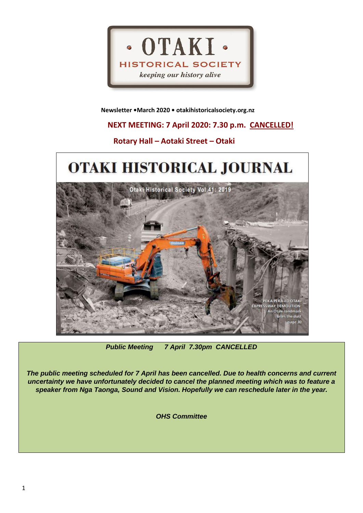

 **Newsletter •March 2020 • otakihistoricalsociety.org.nz**

# **NEXT MEETING: 7 April 2020: 7.30 p.m. CANCELLED!**

# **Rotary Hall – Aotaki Street – Otaki**



*Public Meeting 7 April 7.30pm CANCELLED*

*The public meeting scheduled for 7 April has been cancelled. Due to health concerns and current uncertainty we have unfortunately decided to cancel the planned meeting which was to feature a speaker from Nga Taonga, Sound and Vision. Hopefully we can reschedule later in the year.*

*OHS Committee*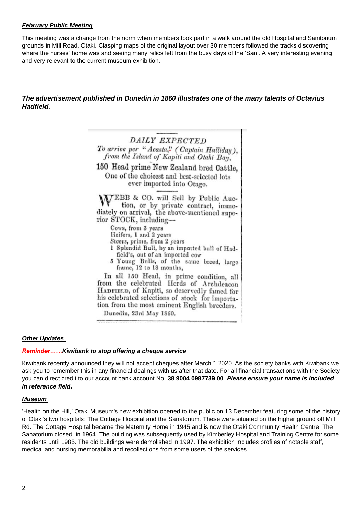## *February Public Meeting*

This meeting was a change from the norm when members took part in a walk around the old Hospital and Sanitorium grounds in Mill Road, Otaki. Clasping maps of the original layout over 30 members followed the tracks discovering where the nurses' home was and seeing many relics left from the busy days of the 'San'. A very interesting evening and very relevant to the current museum exhibition.

## *The advertisement published in Dunedin in 1860 illustrates one of the many talents of Octavius Hadfield.*



## *Other Updates*

#### *Reminder……Kiwibank to stop offering a cheque service*

Kiwibank recently announced they will not accept cheques after March 1 2020. As the society banks with Kiwibank we ask you to remember this in any financial dealings with us after that date. For all financial transactions with the Society you can direct credit to our account bank account No. **38 9004 0987739 00**. *Please ensure your name is included in reference field.*

## *Museum*

'Health on the Hill,' Otaki Museum's new exhibition opened to the public on 13 December featuring some of the history of Otaki's two hospitals: The Cottage Hospital and the Sanatorium. These were situated on the higher ground off Mill Rd. The Cottage Hospital became the Maternity Home in 1945 and is now the Otaki Community Health Centre. The Sanatorium closed in 1964. The building was subsequently used by Kimberley Hospital and Training Centre for some residents until 1985. The old buildings were demolished in 1997. The exhibition includes profiles of notable staff, medical and nursing memorabilia and recollections from some users of the services.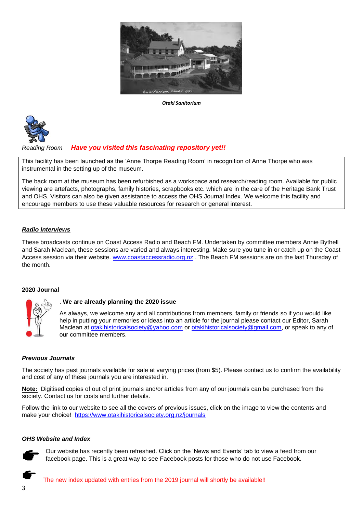

*Otaki Sanitorium*



# *Reading Room Have you visited this fascinating repository yet!!*

This facility has been launched as the 'Anne Thorpe Reading Room' in recognition of Anne Thorpe who was instrumental in the setting up of the museum*.* 

The back room at the museum has been refurbished as a workspace and research/reading room. Available for public viewing are artefacts, photographs, family histories, scrapbooks etc. which are in the care of the Heritage Bank Trust and OHS. Visitors can also be given assistance to access the OHS Journal Index. We welcome this facility and encourage members to use these valuable resources for research or general interest.

## *Radio Interviews*

These broadcasts continue on Coast Access Radio and Beach FM. Undertaken by committee members Annie Bythell and Sarah Maclean, these sessions are varied and always interesting. Make sure you tune in or catch up on the Coast Access session via their website. [www.coastaccessradio.org.nz](http://www.coastaccessradio.org.nz/) . The Beach FM sessions are on the last Thursday of the month.

## **2020 Journal**



## . **We are already planning the 2020 issue**

As always, we welcome any and all contributions from members, family or friends so if you would like help in putting your memories or ideas into an article for the journal please contact our Editor, Sarah Maclean at [otakihistoricalsociety@yahoo.com](mailto:otakihistoricalsociety@yahoo.com) or [otakihistoricalsociety@gmail.com,](mailto:otakihistoricalsociety@gmail.com) or speak to any of our committee members.

## *Previous Journals*

The society has past journals available for sale at varying prices (from \$5). Please contact us to confirm the availability and cost of any of these journals you are interested in.

**Note:** Digitised copies of out of print journals and/or articles from any of our journals can be purchased from the society. Contact us for costs and further details.

Follow the link to our website to see all the covers of previous issues, click on the image to view the contents and make your choice! <https://www.otakihistoricalsociety.org.nz/journals>

## *OHS Website and Index*



Our website has recently been refreshed. Click on the 'News and Events' tab to view a feed from our facebook page. This is a great way to see Facebook posts for those who do not use Facebook.

The new index updated with entries from the 2019 journal will shortly be available!!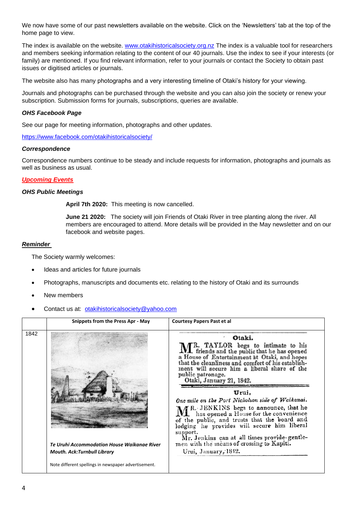We now have some of our past newsletters available on the website. Click on the 'Newsletters' tab at the top of the home page to view.

The index is available on the website. [www.otakihistoricalsociety.org.nz](http://www.otakihistoricalsociety.org.nz/) The index is a valuable tool for researchers and members seeking information relating to the content of our 40 journals. Use the index to see if your interests (or family) are mentioned. If you find relevant information, refer to your journals or contact the Society to obtain past issues or digitised articles or journals.

The website also has many photographs and a very interesting timeline of Otaki's history for your viewing.

Journals and photographs can be purchased through the website and you can also join the society or renew your subscription. Submission forms for journals, subscriptions, queries are available.

## *OHS Facebook Page*

See our page for meeting information, photographs and other updates.

<https://www.facebook.com/otakihistoricalsociety/>

#### *Correspondence*

Correspondence numbers continue to be steady and include requests for information, photographs and journals as well as business as usual.

## *Upcoming Events*

#### *OHS Public Meetings*

**April 7th 2020:** This meeting is now cancelled.

**June 21 2020:** The society will join Friends of Otaki River in tree planting along the river. All members are encouraged to attend. More details will be provided in the May newsletter and on our facebook and website pages.

## *Reminder*

The Society warmly welcomes:

- Ideas and articles for future journals
- Photographs, manuscripts and documents etc. relating to the history of Otaki and its surrounds
- New members
- Contact us at: [otakihistoricalsociety@yahoo.com](mailto:otakihistoricalsociety@yahoo.com)

|      | Snippets from the Press Apr - May                                                 | <b>Courtesy Papers Past et al</b>                                                                                                                                                                                                                  |
|------|-----------------------------------------------------------------------------------|----------------------------------------------------------------------------------------------------------------------------------------------------------------------------------------------------------------------------------------------------|
| 1842 |                                                                                   | Otaki.<br>MR. TAYLOR begs to intimate to his<br>a House of Entertainment at Otaki, and hopes<br>that the cleanliness and comfort of his establish-<br>ment will secure him a liberal share of the<br>public patronage.<br>Otaki, January 21, 1842. |
|      |                                                                                   | Urui,<br>One mile on the Port Nicholson side of Waikanai.<br>MR. JENKINS begs to announce, that he has opened a House for the convenience of the public, and trusts that the board and lodging he provides will secure him liberal<br>support.     |
|      | Te Uruhi Accommodation House Waikange River<br><b>Mouth. Ack:Turnbull Library</b> | Mr. Jenkins can at all times provide-gentle-men with the means of crossing to Kapiti.<br>Urui, January, 1842.                                                                                                                                      |
|      | Note different spellings in newspaper advertisement.                              |                                                                                                                                                                                                                                                    |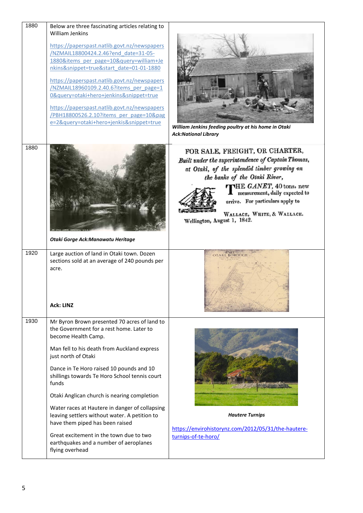| 1880 | Below are three fascinating articles relating to                                                                                                                                                                                                                                                                                                                                                                                                                                   |                                                                                                                                                                                                                                                                                                                                    |
|------|------------------------------------------------------------------------------------------------------------------------------------------------------------------------------------------------------------------------------------------------------------------------------------------------------------------------------------------------------------------------------------------------------------------------------------------------------------------------------------|------------------------------------------------------------------------------------------------------------------------------------------------------------------------------------------------------------------------------------------------------------------------------------------------------------------------------------|
|      | <b>William Jenkins</b><br>https://paperspast.natlib.govt.nz/newspapers<br>/NZMAIL18800424.2.46?end date=31-05-<br>1880&items per page=10&query=william+Je<br>nkins&snippet=true&start_date=01-01-1880<br>https://paperspast.natlib.govt.nz/newspapers<br>/NZMAIL18960109.2.40.6?items per page=1<br>0&query=otaki+hero+jenkins&snippet=true<br>https://paperspast.natlib.govt.nz/newspapers<br>/PBH18800526.2.10?items per page=10&pag<br>e=2&query=otaki+hero+jenkis&snippet=true | William Jenkins feeding poultry at his home in Otaki<br><b>Ack:National Library</b>                                                                                                                                                                                                                                                |
| 1880 | Otaki Gorge Ack: Manawatu Heritage                                                                                                                                                                                                                                                                                                                                                                                                                                                 | FOR SALE, FREIGHT, OR CHARTER,<br>Built under the superintendence of Captain Thomas,<br>at Otaki, of the splendid timber growing on<br>the banks of the Otaki River,<br>THE GANET, 40 tons, new<br>measurement, daily expected to<br>arrive. For particulars apply to<br>WALLACE, WHITE, & WALLACE.<br>Wellington, August 1, 1842. |
| 1920 | Large auction of land in Otaki town. Dozen                                                                                                                                                                                                                                                                                                                                                                                                                                         | OTAKL BOROUGH                                                                                                                                                                                                                                                                                                                      |
|      | sections sold at an average of 240 pounds per<br>acre.<br><b>Ack: LINZ</b>                                                                                                                                                                                                                                                                                                                                                                                                         |                                                                                                                                                                                                                                                                                                                                    |
| 1930 | Mr Byron Brown presented 70 acres of land to<br>the Government for a rest home. Later to<br>become Health Camp.<br>Man fell to his death from Auckland express<br>just north of Otaki                                                                                                                                                                                                                                                                                              |                                                                                                                                                                                                                                                                                                                                    |
|      | Dance in Te Horo raised 10 pounds and 10<br>shillings towards Te Horo School tennis court<br>funds                                                                                                                                                                                                                                                                                                                                                                                 |                                                                                                                                                                                                                                                                                                                                    |
|      | Otaki Anglican church is nearing completion                                                                                                                                                                                                                                                                                                                                                                                                                                        |                                                                                                                                                                                                                                                                                                                                    |
|      | Water races at Hautere in danger of collapsing<br>leaving settlers without water. A petition to<br>have them piped has been raised                                                                                                                                                                                                                                                                                                                                                 | <b>Hautere Turnips</b><br>https://envirohistorynz.com/2012/05/31/the-hautere-                                                                                                                                                                                                                                                      |
|      | Great excitement in the town due to two<br>earthquakes and a number of aeroplanes<br>flying overhead                                                                                                                                                                                                                                                                                                                                                                               | turnips-of-te-horo/                                                                                                                                                                                                                                                                                                                |